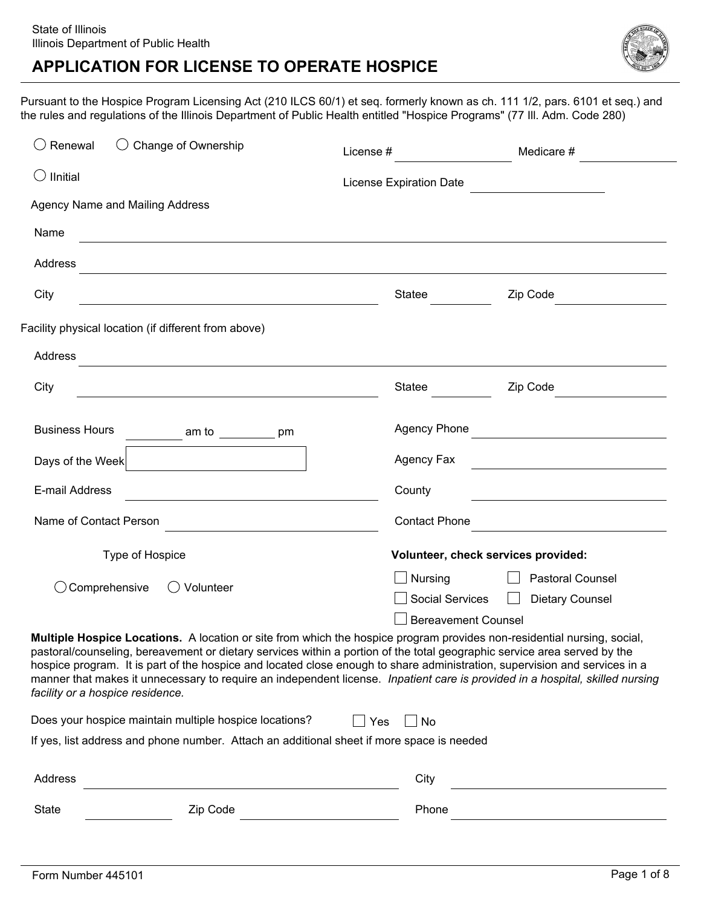

Pursuant to the Hospice Program Licensing Act (210 ILCS 60/1) et seq. formerly known as ch. 111 1/2, pars. 6101 et seq.) and the rules and regulations of the Illinois Department of Public Health entitled "Hospice Programs" (77 Ill. Adm. Code 280)

| $\bigcirc$ Renewal               | $\bigcirc$<br>Change of Ownership                                                                                                                                                                                                                                                                                                                                                 | License #                      | Medicare #                                                                                                                    |  |  |
|----------------------------------|-----------------------------------------------------------------------------------------------------------------------------------------------------------------------------------------------------------------------------------------------------------------------------------------------------------------------------------------------------------------------------------|--------------------------------|-------------------------------------------------------------------------------------------------------------------------------|--|--|
| Ilnitial<br>( )                  |                                                                                                                                                                                                                                                                                                                                                                                   | <b>License Expiration Date</b> |                                                                                                                               |  |  |
|                                  | Agency Name and Mailing Address                                                                                                                                                                                                                                                                                                                                                   |                                |                                                                                                                               |  |  |
| Name                             | and the control of the control of the control of the control of the control of the control of the control of the                                                                                                                                                                                                                                                                  |                                |                                                                                                                               |  |  |
| Address                          | <u> 1989 - Johann Stoff, Amerikaansk politiker (* 1989)</u>                                                                                                                                                                                                                                                                                                                       |                                |                                                                                                                               |  |  |
| City                             |                                                                                                                                                                                                                                                                                                                                                                                   | Statee                         | Zip Code                                                                                                                      |  |  |
|                                  | Facility physical location (if different from above)                                                                                                                                                                                                                                                                                                                              |                                |                                                                                                                               |  |  |
| Address                          | and the control of the control of the control of the control of the control of the control of the control of the                                                                                                                                                                                                                                                                  |                                |                                                                                                                               |  |  |
| City                             | <u> 1989 - Johann Stein, marwolaethau a bhann an t-Amhair ann an t-Amhair an t-Amhair an t-Amhair an t-Amhair an</u>                                                                                                                                                                                                                                                              | Statee                         | Zip Code                                                                                                                      |  |  |
| <b>Business Hours</b>            | am to $\_\_$ pm                                                                                                                                                                                                                                                                                                                                                                   | <b>Agency Phone</b>            | <u> 1980 - Andrea Station Books, amerikansk politik (</u>                                                                     |  |  |
| Days of the Week                 | $\vert \textbf{F} \vert$                                                                                                                                                                                                                                                                                                                                                          | Agency Fax                     | <u> 1989 - Johann Barbara, martxa alemaniar a</u>                                                                             |  |  |
| E-mail Address                   |                                                                                                                                                                                                                                                                                                                                                                                   | County                         |                                                                                                                               |  |  |
| Name of Contact Person           | the control of the control of the control of the control of the control of the control of                                                                                                                                                                                                                                                                                         | <b>Contact Phone</b>           |                                                                                                                               |  |  |
|                                  | Type of Hospice                                                                                                                                                                                                                                                                                                                                                                   |                                | Volunteer, check services provided:                                                                                           |  |  |
|                                  |                                                                                                                                                                                                                                                                                                                                                                                   | Nursing                        | Pastoral Counsel                                                                                                              |  |  |
|                                  | Comprehensive<br>Volunteer<br>$($ )                                                                                                                                                                                                                                                                                                                                               | <b>Social Services</b>         | <b>Dietary Counsel</b>                                                                                                        |  |  |
|                                  |                                                                                                                                                                                                                                                                                                                                                                                   |                                | <b>Bereavement Counsel</b>                                                                                                    |  |  |
| facility or a hospice residence. | Multiple Hospice Locations. A location or site from which the hospice program provides non-residential nursing, social,<br>pastoral/counseling, bereavement or dietary services within a portion of the total geographic service area served by the<br>hospice program. It is part of the hospice and located close enough to share administration, supervision and services in a |                                | manner that makes it unnecessary to require an independent license. Inpatient care is provided in a hospital, skilled nursing |  |  |
|                                  | Does your hospice maintain multiple hospice locations?                                                                                                                                                                                                                                                                                                                            | <b>No</b><br>Yes               |                                                                                                                               |  |  |
|                                  | If yes, list address and phone number. Attach an additional sheet if more space is needed                                                                                                                                                                                                                                                                                         |                                |                                                                                                                               |  |  |
| Address                          |                                                                                                                                                                                                                                                                                                                                                                                   | City                           |                                                                                                                               |  |  |
| <b>State</b>                     | Zip Code                                                                                                                                                                                                                                                                                                                                                                          | Phone                          |                                                                                                                               |  |  |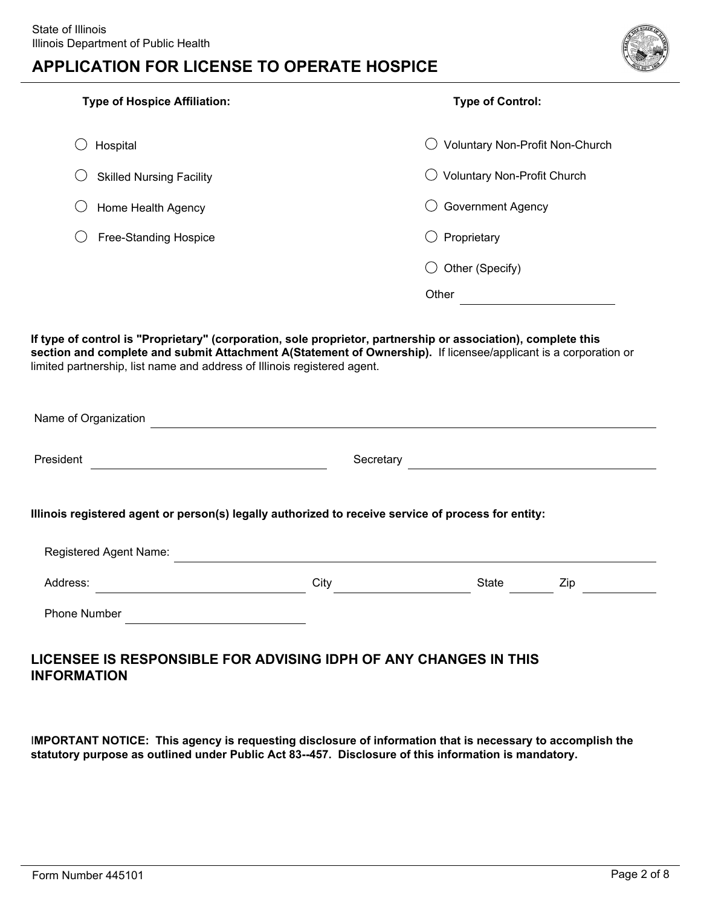

| <b>Type of Hospice Affiliation:</b> | <b>Type of Control:</b>            |  |  |
|-------------------------------------|------------------------------------|--|--|
| Hospital                            | Voluntary Non-Profit Non-Church    |  |  |
| <b>Skilled Nursing Facility</b>     | <b>Voluntary Non-Profit Church</b> |  |  |
| Home Health Agency                  | <b>Government Agency</b>           |  |  |
| <b>Free-Standing Hospice</b>        | Proprietary                        |  |  |
|                                     | Other (Specify)                    |  |  |
|                                     | Other                              |  |  |
|                                     |                                    |  |  |

**If type of control is "Proprietary" (corporation, sole proprietor, partnership or association), complete this** section and complete and submit Attachment A(Statement of Ownership). If licensee/applicant is a corporation or limited partnership, list name and address of Illinois registered agent.

| Name of Organization                                                                                |           |                                                           |     |  |  |
|-----------------------------------------------------------------------------------------------------|-----------|-----------------------------------------------------------|-----|--|--|
| President                                                                                           | Secretary | <u> 1989 - John Stein, Amerikaansk politiker (* 1908)</u> |     |  |  |
| Illinois registered agent or person(s) legally authorized to receive service of process for entity: |           |                                                           |     |  |  |
| Registered Agent Name:                                                                              |           |                                                           |     |  |  |
| Address:                                                                                            | City      | State                                                     | Zip |  |  |
| <b>Phone Number</b>                                                                                 |           |                                                           |     |  |  |
|                                                                                                     |           |                                                           |     |  |  |

### **LICENSEE IS RESPONSIBLE FOR ADVISING IDPH OF ANY CHANGES IN THIS INFORMATION**

I**MPORTANT NOTICE: This agency is requesting disclosure of information that is necessary to accomplish the statutory purpose as outlined under Public Act 83--457. Disclosure of this information is mandatory.**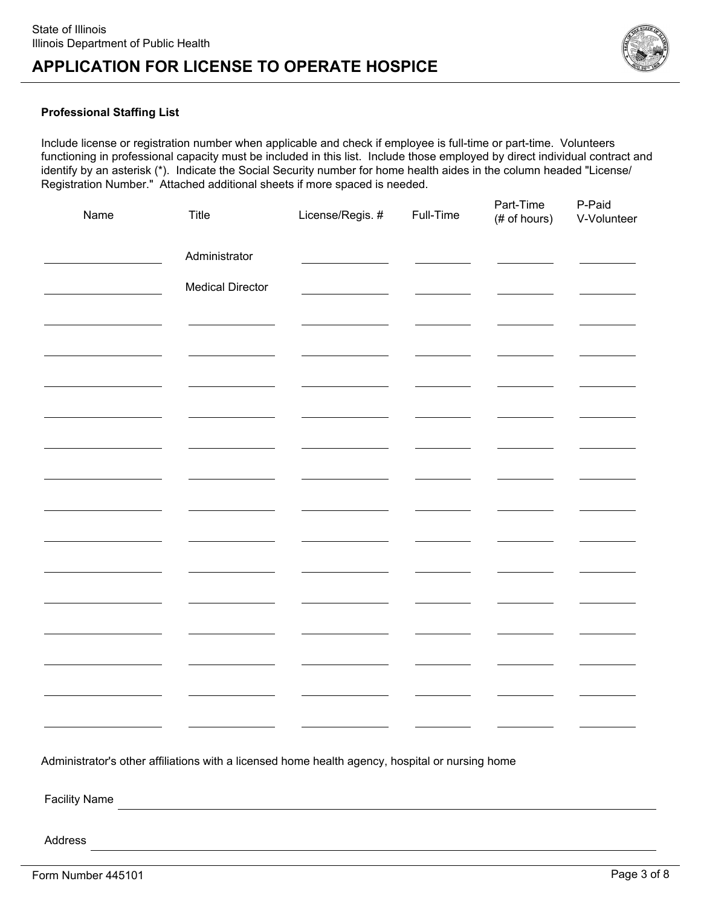

#### **Professional Staffing List**

Include license or registration number when applicable and check if employee is full-time or part-time. Volunteers functioning in professional capacity must be included in this list. Include those employed by direct individual contract and identify by an asterisk (\*). Indicate the Social Security number for home health aides in the column headed "License/ Registration Number." Attached additional sheets if more spaced is needed.

| Name | <b>Title</b>            | License/Regis. # | Full-Time | Part-Time<br>(# of hours) | P-Paid<br>V-Volunteer |
|------|-------------------------|------------------|-----------|---------------------------|-----------------------|
|      | Administrator           |                  |           |                           |                       |
|      | <b>Medical Director</b> |                  |           |                           |                       |
|      |                         |                  |           |                           |                       |
|      |                         |                  |           |                           |                       |
|      |                         |                  |           |                           |                       |
|      |                         |                  |           |                           |                       |
|      |                         |                  |           |                           |                       |
|      |                         |                  |           |                           |                       |
|      |                         |                  |           |                           |                       |
|      |                         |                  |           |                           |                       |
|      |                         |                  |           |                           |                       |
|      |                         |                  |           |                           |                       |
|      |                         |                  |           |                           |                       |
|      |                         |                  |           |                           |                       |

Administrator's other affiliations with a licensed home health agency, hospital or nursing home

Facility Name

Address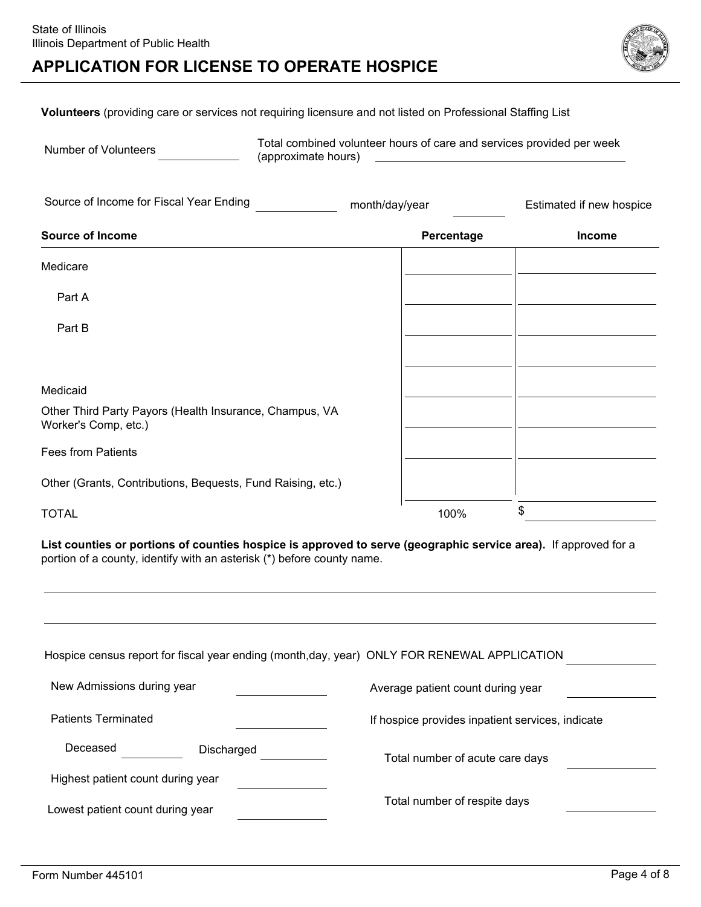

**Volunteers** (providing care or services not requiring licensure and not listed on Professional Staffing List

Number of Volunteers Total combined volunteer hours of care and services provided per week (approximate hours)

| Source of Income for Fiscal Year Ending                                         | month/day/year | Estimated if new hospice |  |
|---------------------------------------------------------------------------------|----------------|--------------------------|--|
| <b>Source of Income</b>                                                         | Percentage     | Income                   |  |
| Medicare                                                                        |                |                          |  |
| Part A                                                                          |                |                          |  |
| Part B                                                                          |                |                          |  |
|                                                                                 |                |                          |  |
| Medicaid                                                                        |                |                          |  |
| Other Third Party Payors (Health Insurance, Champus, VA<br>Worker's Comp, etc.) |                |                          |  |
| <b>Fees from Patients</b>                                                       |                |                          |  |
| Other (Grants, Contributions, Bequests, Fund Raising, etc.)                     |                |                          |  |
| <b>TOTAL</b>                                                                    | 100%           | \$                       |  |

**List counties or portions of counties hospice is approved to serve (geographic service area).** If approved for a portion of a county, identify with an asterisk (\*) before county name.

| Hospice census report for fiscal year ending (month,day, year) ONLY FOR RENEWAL APPLICATION |                                                  |
|---------------------------------------------------------------------------------------------|--------------------------------------------------|
| New Admissions during year                                                                  | Average patient count during year                |
| <b>Patients Terminated</b>                                                                  | If hospice provides inpatient services, indicate |
| Deceased<br>Discharged                                                                      | Total number of acute care days                  |
| Highest patient count during year                                                           |                                                  |
| Lowest patient count during year                                                            | Total number of respite days                     |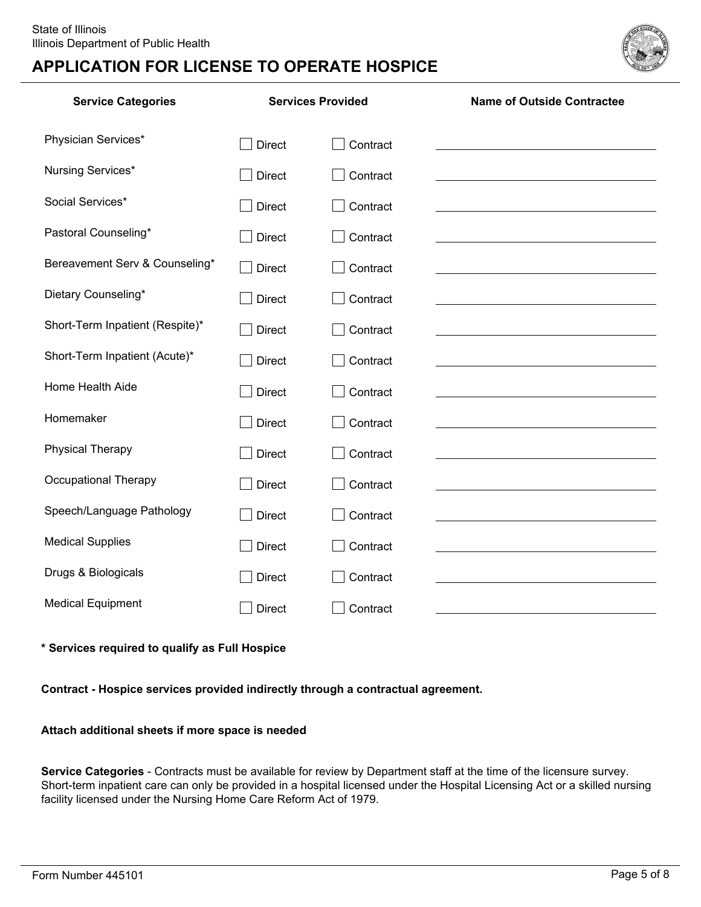

| <b>Service Categories</b>       | <b>Services Provided</b> |          | <b>Name of Outside Contractee</b>                                                                                     |
|---------------------------------|--------------------------|----------|-----------------------------------------------------------------------------------------------------------------------|
| Physician Services*             | <b>Direct</b>            | Contract |                                                                                                                       |
| Nursing Services*               | <b>Direct</b>            | Contract |                                                                                                                       |
| Social Services*                | <b>Direct</b>            | Contract | <u> 1989 - Johann Stoff, deutscher Stoff, der Stoff, der Stoff, der Stoff, der Stoff, der Stoff, der Stoff, der S</u> |
| Pastoral Counseling*            | <b>Direct</b>            | Contract | the control of the control of the control of the control of the control of the control of                             |
| Bereavement Serv & Counseling*  | <b>Direct</b>            | Contract |                                                                                                                       |
| Dietary Counseling*             | <b>Direct</b>            | Contract |                                                                                                                       |
| Short-Term Inpatient (Respite)* | <b>Direct</b>            | Contract |                                                                                                                       |
| Short-Term Inpatient (Acute)*   | <b>Direct</b>            | Contract |                                                                                                                       |
| Home Health Aide                | <b>Direct</b>            | Contract |                                                                                                                       |
| Homemaker                       | <b>Direct</b>            | Contract |                                                                                                                       |
| <b>Physical Therapy</b>         | <b>Direct</b>            | Contract |                                                                                                                       |
| <b>Occupational Therapy</b>     | <b>Direct</b>            | Contract |                                                                                                                       |
| Speech/Language Pathology       | <b>Direct</b>            | Contract |                                                                                                                       |
| <b>Medical Supplies</b>         | <b>Direct</b>            | Contract |                                                                                                                       |
| Drugs & Biologicals             | <b>Direct</b>            | Contract |                                                                                                                       |
| <b>Medical Equipment</b>        | <b>Direct</b>            | Contract |                                                                                                                       |

#### **\* Services required to qualify as Full Hospice**

#### **Contract - Hospice services provided indirectly through a contractual agreement.**

#### **Attach additional sheets if more space is needed**

**Service Categories** - Contracts must be available for review by Department staff at the time of the licensure survey. Short-term inpatient care can only be provided in a hospital licensed under the Hospital Licensing Act or a skilled nursing facility licensed under the Nursing Home Care Reform Act of 1979.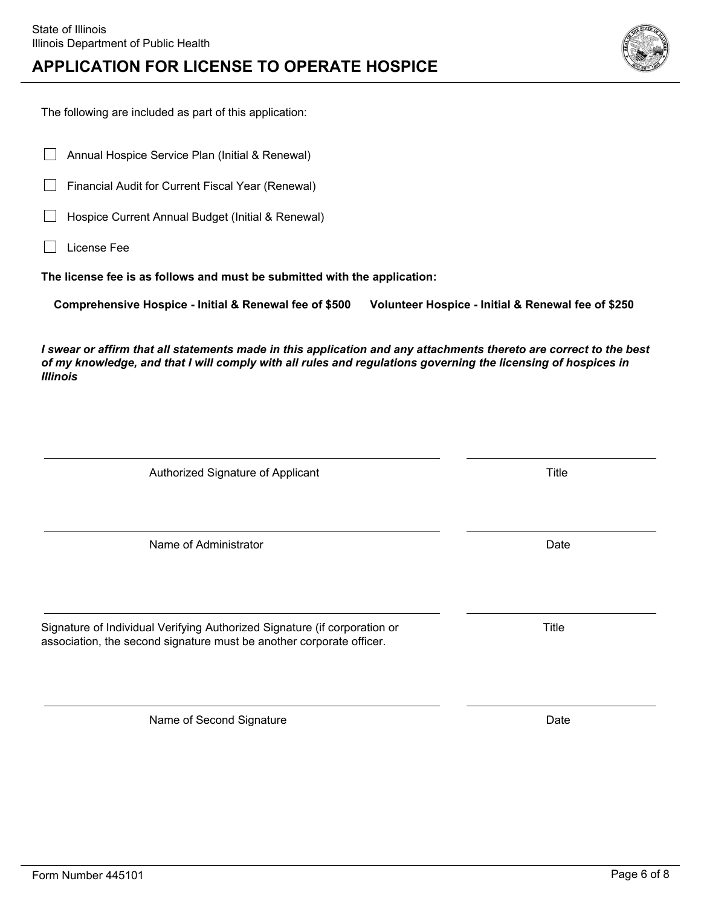License Fee

*Illinois*

 $\Box$ 

The following are included as part of this application:

Annual Hospice Service Plan (Initial & Renewal)

Financial Audit for Current Fiscal Year (Renewal)

Hospice Current Annual Budget (Initial & Renewal)

# **APPLICATION FOR LICENSE TO OPERATE HOSPICE**

**The license fee is as follows and must be submitted with the application:**

**Comprehensive Hospice - Initial & Renewal fee of \$500 Volunteer Hospice - Initial & Renewal fee of \$250**

*I swear or affirm that all statements made in this application and any attachments thereto are correct to the best of my knowledge, and that I will comply with all rules and regulations governing the licensing of hospices in*

Authorized Signature of Applicant Title

Name of Administrator **Date** Date of Administrator **Date Date** Date **Date** 

Signature of Individual Verifying Authorized Signature (if corporation or Title Title association, the second signature must be another corporate officer.

Name of Second Signature Date Date

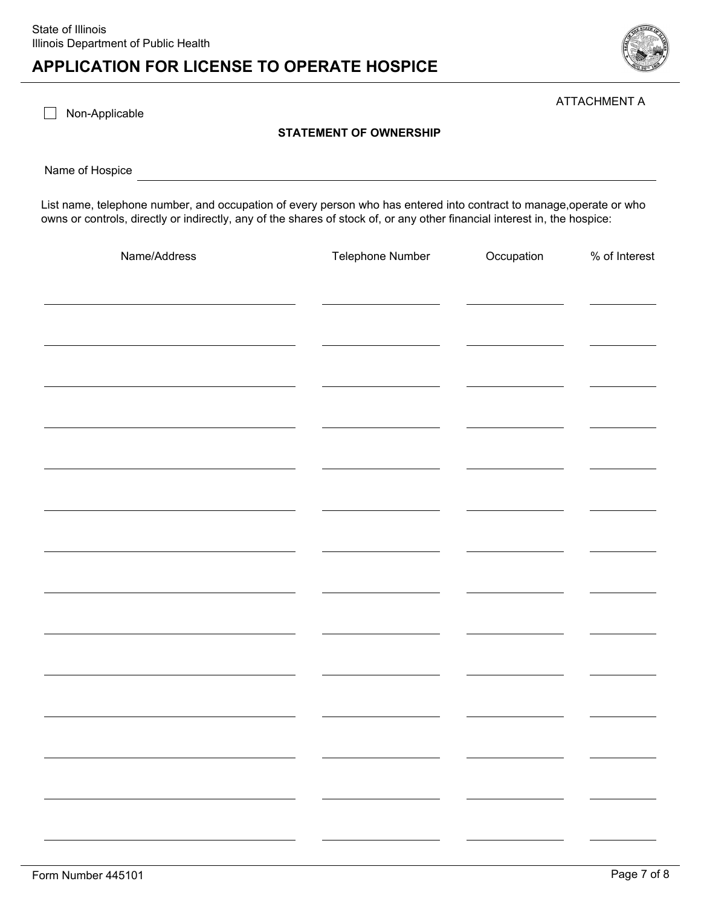

ATTACHMENT A

Non-Applicable

#### **STATEMENT OF OWNERSHIP**

Name of Hospice

List name, telephone number, and occupation of every person who has entered into contract to manage,operate or who owns or controls, directly or indirectly, any of the shares of stock of, or any other financial interest in, the hospice:

| Name/Address | Telephone Number | Occupation | % of Interest |
|--------------|------------------|------------|---------------|
|              |                  |            |               |
|              |                  |            |               |
|              |                  |            |               |
|              |                  |            |               |
|              |                  |            |               |
|              |                  |            |               |
|              |                  |            |               |
|              |                  |            |               |
|              |                  |            |               |
|              |                  |            |               |
|              |                  |            |               |
|              |                  |            |               |
|              |                  |            |               |
|              |                  |            |               |
|              |                  |            |               |
|              |                  |            |               |